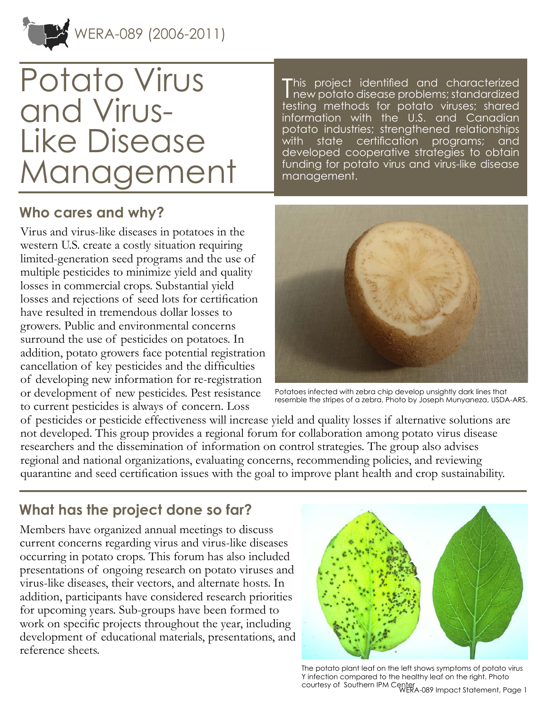

# Potato Virus and Virus-Like Disease Management

T his project identified and characterized new potato disease problems; standardized testing methods for potato viruses; shared information with the U.S. and Canadian potato industries; strengthened relationships with state certification programs; and developed cooperative strategies to obtain funding for potato virus and virus-like disease management.

### **Who cares and why?**

Virus and virus-like diseases in potatoes in the western U.S. create a costly situation requiring limited-generation seed programs and the use of multiple pesticides to minimize yield and quality losses in commercial crops. Substantial yield losses and rejections of seed lots for certification have resulted in tremendous dollar losses to growers. Public and environmental concerns surround the use of pesticides on potatoes. In addition, potato growers face potential registration cancellation of key pesticides and the difficulties of developing new information for re-registration or development of new pesticides. Pest resistance to current pesticides is always of concern. Loss



Potatoes infected with zebra chip develop unsightly dark lines that resemble the stripes of a zebra. Photo by Joseph Munyaneza, USDA-ARS.

of pesticides or pesticide effectiveness will increase yield and quality losses if alternative solutions are not developed. This group provides a regional forum for collaboration among potato virus disease researchers and the dissemination of information on control strategies. The group also advises regional and national organizations, evaluating concerns, recommending policies, and reviewing quarantine and seed certification issues with the goal to improve plant health and crop sustainability.

## **What has the project done so far?**

Members have organized annual meetings to discuss current concerns regarding virus and virus-like diseases occurring in potato crops. This forum has also included presentations of ongoing research on potato viruses and virus-like diseases, their vectors, and alternate hosts. In addition, participants have considered research priorities for upcoming years. Sub-groups have been formed to work on specific projects throughout the year, including development of educational materials, presentations, and reference sheets.



WERA-089 Impact Statement, Page 1 courtesy of Southern IPM CenterThe potato plant leaf on the left shows symptoms of potato virus Y infection compared to the healthy leaf on the right. Photo